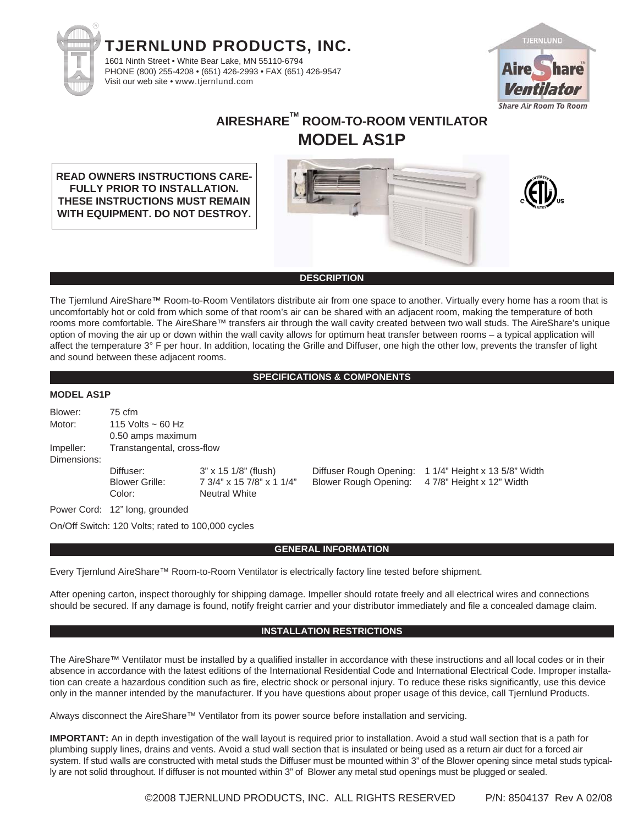



# **AIRESHARETM ROOM-TO-ROOM VENTILATOR MODEL AS1P**

**READ OWNERS INSTRUCTIONS CARE-FULLY PRIOR TO INSTALLATION. THESE INSTRUCTIONS MUST REMAIN WITH EQUIPMENT. DO NOT DESTROY.**

#### **DESCRIPTION**

The Tjernlund AireShare™ Room-to-Room Ventilators distribute air from one space to another. Virtually every home has a room that is uncomfortably hot or cold from which some of that room's air can be shared with an adjacent room, making the temperature of both rooms more comfortable. The AireShare™ transfers air through the wall cavity created between two wall studs. The AireShare's unique option of moving the air up or down within the wall cavity allows for optimum heat transfer between rooms – a typical application will affect the temperature 3° F per hour. In addition, locating the Grille and Diffuser, one high the other low, prevents the transfer of light and sound between these adjacent rooms.

#### **SPECIFICATIONS & COMPONENTS**

#### **MODEL AS1P**

| Blower:     | 75 cfm                         |                           |
|-------------|--------------------------------|---------------------------|
| Motor:      | 115 Volts $\sim$ 60 Hz         |                           |
|             | 0.50 amps maximum              |                           |
| Impeller:   | Transtangental, cross-flow     |                           |
| Dimensions: |                                |                           |
|             | Diffuser:                      | 3" x 15 1/8" (flush)      |
|             | <b>Blower Grille:</b>          | 7 3/4" x 15 7/8" x 1 1/4" |
|             | Color:                         | <b>Neutral White</b>      |
|             | Power Cord: 12" long, grounded |                           |

Diffuser Rough Opening: 1 1/4" Height x 13 5/8" Width Blower Rough Opening: 4 7/8" Height x 12" Width

On/Off Switch: 120 Volts; rated to 100,000 cycles

#### **GENERAL INFORMATION**

Every Tjernlund AireShare™ Room-to-Room Ventilator is electrically factory line tested before shipment.

After opening carton, inspect thoroughly for shipping damage. Impeller should rotate freely and all electrical wires and connections should be secured. If any damage is found, notify freight carrier and your distributor immediately and file a concealed damage claim.

### **INSTALLATION RESTRICTIONS**

The AireShare™ Ventilator must be installed by a qualified installer in accordance with these instructions and all local codes or in their absence in accordance with the latest editions of the International Residential Code and International Electrical Code. Improper installation can create a hazardous condition such as fire, electric shock or personal injury. To reduce these risks significantly, use this device only in the manner intended by the manufacturer. If you have questions about proper usage of this device, call Tjernlund Products.

Always disconnect the AireShare™ Ventilator from its power source before installation and servicing.

**IMPORTANT:** An in depth investigation of the wall layout is required prior to installation. Avoid a stud wall section that is a path for plumbing supply lines, drains and vents. Avoid a stud wall section that is insulated or being used as a return air duct for a forced air system. If stud walls are constructed with metal studs the Diffuser must be mounted within 3" of the Blower opening since metal studs typically are not solid throughout. If diffuser is not mounted within 3" of Blower any metal stud openings must be plugged or sealed.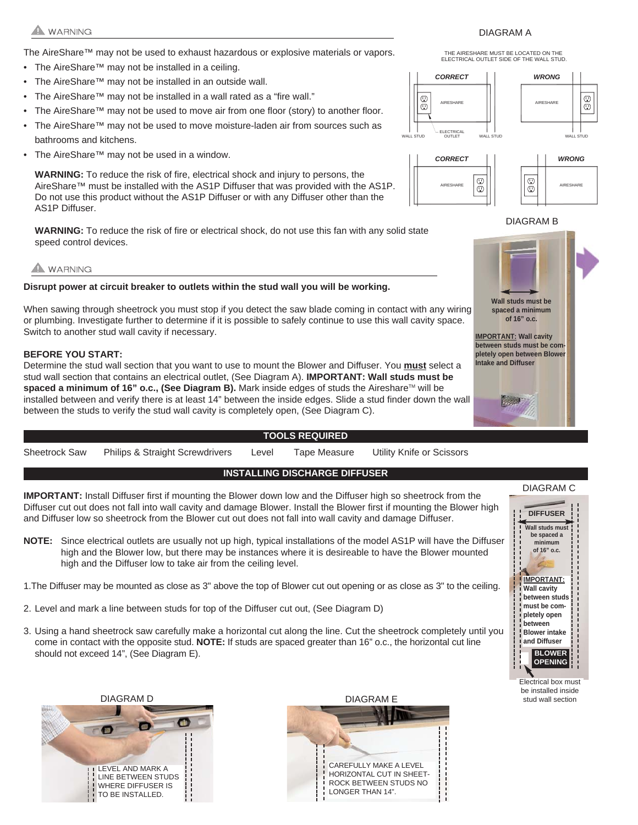## **WARNING**

The AireShare™ may not be used to exhaust hazardous or explosive materials or vapors.

- The AireShare™ may not be installed in a ceiling.
- The AireShare™ may not be installed in an outside wall.
- The AireShare™ may not be installed in a wall rated as a "fire wall."
- The AireShare™ may not be used to move air from one floor (story) to another floor.
- The AireShare™ may not be used to move moisture-laden air from sources such as bathrooms and kitchens.
- The AireShare™ may not be used in a window.

**WARNING:** To reduce the risk of fire, electrical shock and injury to persons, the AireShare™ must be installed with the AS1P Diffuser that was provided with the AS1P. Do not use this product without the AS1P Diffuser or with any Diffuser other than the AS1P Diffuser.

**WARNING:** To reduce the risk of fire or electrical shock, do not use this fan with any solid state speed control devices.

# A WARNING

**Disrupt power at circuit breaker to outlets within the stud wall you will be working.** 

When sawing through sheetrock you must stop if you detect the saw blade coming in contact with any wiring or plumbing. Investigate further to determine if it is possible to safely continue to use this wall cavity space. Switch to another stud wall cavity if necessary.

#### **BEFORE YOU START:**

Determine the stud wall section that you want to use to mount the Blower and Diffuser. You **must** select a stud wall section that contains an electrical outlet, (See Diagram A). **IMPORTANT: Wall studs must be** spaced a minimum of 16" o.c., (See Diagram B). Mark inside edges of studs the Aireshare™ will be installed between and verify there is at least 14" between the inside edges. Slide a stud finder down the wall between the studs to verify the stud wall cavity is completely open, (See Diagram C).

#### **TOOLS REQUIRED**

Sheetrock Saw Philips & Straight Screwdrivers Level Tape Measure Utility Knife or Scissors

### **INSTALLING DISCHARGE DIFFUSER**

**IMPORTANT:** Install Diffuser first if mounting the Blower down low and the Diffuser high so sheetrock from the Diffuser cut out does not fall into wall cavity and damage Blower. Install the Blower first if mounting the Blower high and Diffuser low so sheetrock from the Blower cut out does not fall into wall cavity and damage Diffuser.

- **NOTE:** Since electrical outlets are usually not up high, typical installations of the model AS1P will have the Diffuser high and the Blower low, but there may be instances where it is desireable to have the Blower mounted high and the Diffuser low to take air from the ceiling level.
- 1.The Diffuser may be mounted as close as 3" above the top of Blower cut out opening or as close as 3" to the ceiling.
- 2. Level and mark a line between studs for top of the Diffuser cut out, (See Diagram D)
- 3. Using a hand sheetrock saw carefully make a horizontal cut along the line. Cut the sheetrock completely until you come in contact with the opposite stud. **NOTE:** If studs are spaced greater than 16" o.c., the horizontal cut line should not exceed 14", (See Diagram E).





#### ELECTRICAL OUTLET SIDE OF THE WALL STUD. THE AIRESHARE MUST BE LOCATED ON THE





#### DIAGRAM B







Electrical box must be installed inside stud wall section

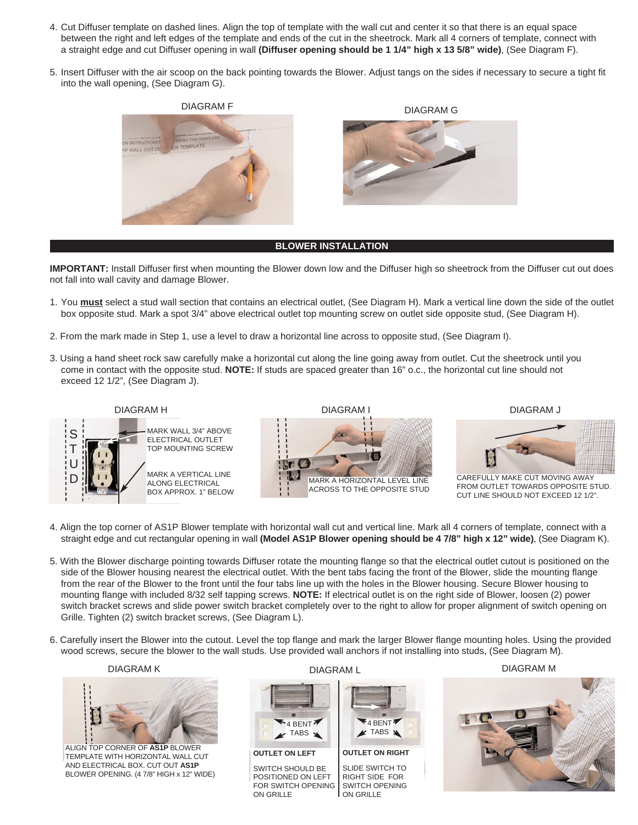- 4. Cut Diffuser template on dashed lines. Align the top of template with the wall cut and center it so that there is an equal space between the right and left edges of the template and ends of the cut in the sheetrock. Mark all 4 corners of template, connect with a straight edge and cut Diffuser opening in wall **(Diffuser opening should be 1 1/4" high x 13 5/8" wide)**, (See Diagram F).
- 5. Insert Diffuser with the air scoop on the back pointing towards the Blower. Adjust tangs on the sides if necessary to secure a tight fit into the wall opening, (See Diagram G).





#### **BLOWER INSTALLATION**

**IMPORTANT:** Install Diffuser first when mounting the Blower down low and the Diffuser high so sheetrock from the Diffuser cut out does not fall into wall cavity and damage Blower.

- 1. You **must** select a stud wall section that contains an electrical outlet, (See Diagram H). Mark a vertical line down the side of the outlet box opposite stud. Mark a spot 3/4" above electrical outlet top mounting screw on outlet side opposite stud, (See Diagram H).
- 2. From the mark made in Step 1, use a level to draw a horizontal line across to opposite stud, (See Diagram I).
- 3. Using a hand sheet rock saw carefully make a horizontal cut along the line going away from outlet. Cut the sheetrock until you come in contact with the opposite stud. **NOTE:** If studs are spaced greater than 16" o.c., the horizontal cut line should not exceed 12 1/2", (See Diagram J).



- 4. Align the top corner of AS1P Blower template with horizontal wall cut and vertical line. Mark all 4 corners of template, connect with a straight edge and cut rectangular opening in wall **(Model AS1P Blower opening should be 4 7/8" high x 12" wide)**, (See Diagram K).
- 5. With the Blower discharge pointing towards Diffuser rotate the mounting flange so that the electrical outlet cutout is positioned on the side of the Blower housing nearest the electrical outlet. With the bent tabs facing the front of the Blower, slide the mounting flange from the rear of the Blower to the front until the four tabs line up with the holes in the Blower housing. Secure Blower housing to mounting flange with included 8/32 self tapping screws. **NOTE:** If electrical outlet is on the right side of Blower, loosen (2) power switch bracket screws and slide power switch bracket completely over to the right to allow for proper alignment of switch opening on Grille. Tighten (2) switch bracket screws, (See Diagram L).
- 6. Carefully insert the Blower into the cutout. Level the top flange and mark the larger Blower flange mounting holes. Using the provided wood screws, secure the blower to the wall studs. Use provided wall anchors if not installing into studs, (See Diagram M).

DIAGRAM K



ALIGN TOP CORNER OF **AS1P** BLOWER TEMPLATE WITH HORIZONTAL WALL CUT AND ELECTRICAL BOX. CUT OUT **AS1P** BLOWER OPENING. (4 7/8" HIGH x 12" WIDE)



POSITIONED ON LEFT FOR SWITCH OPENING ON GRILLE

 $4$  BENT TABS $\blacktriangle$ **OUTLET ON RIGHT** SLIDE SWITCH TO

RIGHT SIDE FOR SWITCH OPENING ON GRILLE

DIAGRAM L DIAGRAM M